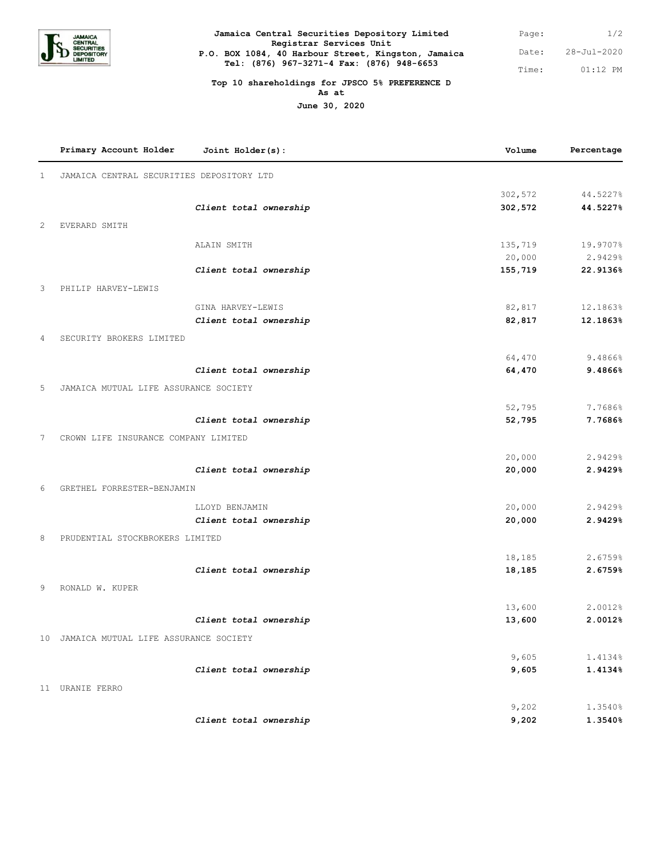

| Jamaica Central Securities Depository Limited                                  | Page: | 1/2         |
|--------------------------------------------------------------------------------|-------|-------------|
| Registrar Services Unit<br>P.O. BOX 1084, 40 Harbour Street, Kingston, Jamaica | Date: | 28-Jul-2020 |
| Tel: (876) 967-3271-4 Fax: (876) 948-6653                                      | Time: | $01:12$ PM  |

## **Top 10 shareholdings for JPSCO 5% PREFERENCE D As at**

**June 30, 2020**

|                | Primary Account Holder<br>Joint Holder(s): | Volume  | Percentage |
|----------------|--------------------------------------------|---------|------------|
| $\mathbf{1}$   | JAMAICA CENTRAL SECURITIES DEPOSITORY LTD  |         |            |
|                |                                            | 302,572 | 44.5227%   |
|                | Client total ownership                     | 302,572 | 44.5227%   |
| $\overline{c}$ | EVERARD SMITH                              |         |            |
|                | ALAIN SMITH                                | 135,719 | 19.9707%   |
|                |                                            | 20,000  | 2.9429%    |
|                | Client total ownership                     | 155,719 | 22.9136%   |
| 3              | PHILIP HARVEY-LEWIS                        |         |            |
|                | GINA HARVEY-LEWIS                          | 82,817  | 12.1863%   |
|                | Client total ownership                     | 82,817  | 12.1863%   |
| 4              | SECURITY BROKERS LIMITED                   |         |            |
|                |                                            |         |            |
|                |                                            | 64,470  | 9.4866%    |
|                | Client total ownership                     | 64,470  | 9.4866%    |
| 5              | JAMAICA MUTUAL LIFE ASSURANCE SOCIETY      |         |            |
|                |                                            | 52,795  | 7.7686%    |
|                | Client total ownership                     | 52,795  | 7.7686%    |
| 7              | CROWN LIFE INSURANCE COMPANY LIMITED       |         |            |
|                |                                            | 20,000  | 2.9429%    |
|                | Client total ownership                     | 20,000  | 2.9429%    |
| 6              | GRETHEL FORRESTER-BENJAMIN                 |         |            |
|                |                                            |         |            |
|                | LLOYD BENJAMIN                             | 20,000  | 2.9429%    |
|                | Client total ownership                     | 20,000  | 2.9429%    |
| 8              | PRUDENTIAL STOCKBROKERS LIMITED            |         |            |
|                |                                            | 18,185  | 2.6759%    |
|                | Client total ownership                     | 18,185  | 2.6759%    |
| 9              | RONALD W. KUPER                            |         |            |
|                |                                            | 13,600  | 2.0012%    |
|                | Client total ownership                     | 13,600  | 2.0012%    |
|                |                                            |         |            |
|                | 10 JAMAICA MUTUAL LIFE ASSURANCE SOCIETY   |         |            |
|                |                                            | 9,605   | 1.4134%    |
|                | Client total ownership                     | 9,605   | 1.4134%    |
|                | 11 URANIE FERRO                            |         |            |
|                |                                            | 9,202   | 1.3540%    |
|                | Client total ownership                     | 9,202   | 1.3540%    |